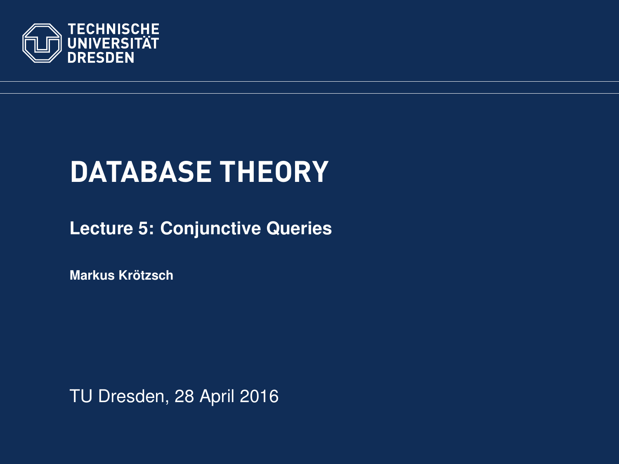<span id="page-0-0"></span>

# **DATABASE THEORY**

**[Lecture 5: Conjunctive Queries](https://ddll.inf.tu-dresden.de/web/Database_Theory_%28SS2016%29/en)**

**[Markus Krotzsch](http://korrekt.org/) ¨**

TU Dresden, 28 April 2016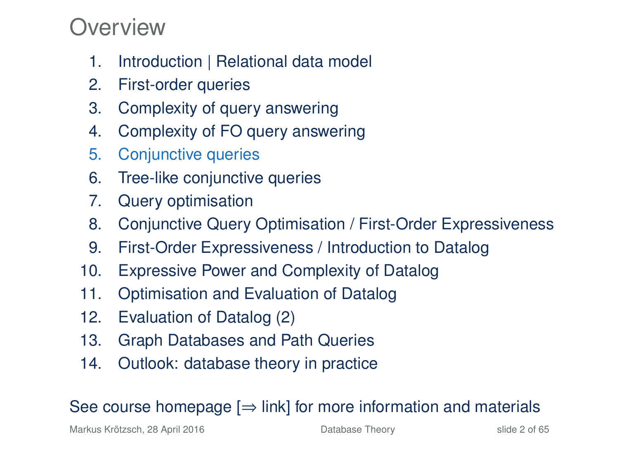### Overview

- 1. Introduction | Relational data model
- 2. First-order queries
- 3. Complexity of query answering
- 4. Complexity of FO query answering
- 5. Conjunctive queries
- 6. Tree-like conjunctive queries
- 7. Query optimisation
- 8. Conjunctive Query Optimisation / First-Order Expressiveness
- 9. First-Order Expressiveness / Introduction to Datalog
- 10. Expressive Power and Complexity of Datalog
- 11. Optimisation and Evaluation of Datalog
- 12. Evaluation of Datalog (2)
- 13. Graph Databases and Path Queries
- 14. Outlook: database theory in practice

### See course homepage  $[\Rightarrow]$  link] for more information and materials

Markus Krötzsch, 28 April 2016 **[Database Theory](#page-0-0)** Slide 2 of 65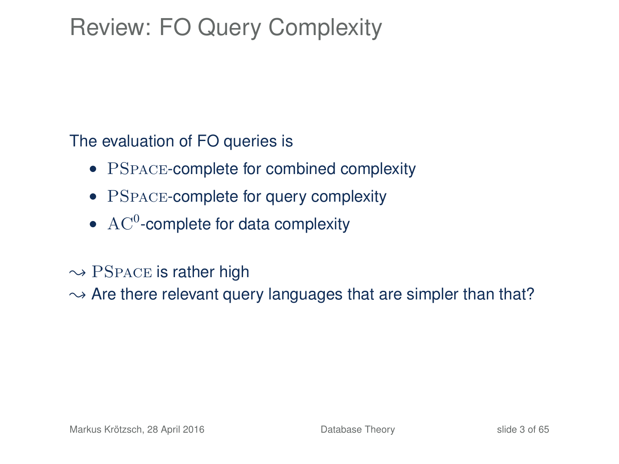## Review: FO Query Complexity

The evaluation of FO queries is

- PSPACE-complete for combined complexity
- PSPACE-complete for query complexity
- $AC<sup>0</sup>$ -complete for data complexity
- $\rightarrow$  PSPACE is rather high

 $\rightarrow$  Are there relevant query languages that are simpler than that?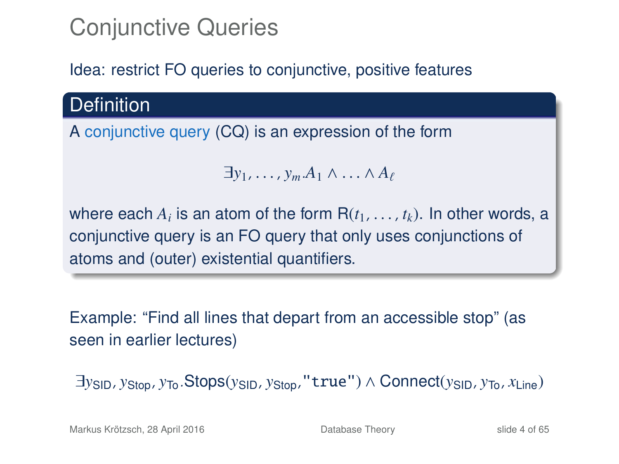## Conjunctive Queries

### Idea: restrict FO queries to conjunctive, positive features

**Definition** 

A conjunctive query (CQ) is an expression of the form

$$
\exists y_1,\ldots,y_m.A_1\wedge\ldots\wedge A_\ell
$$

where each  $A_i$  is an atom of the form  $R(t_1, \ldots, t_k)$ . In other words, a<br>conjunctive query is an EQ query that only uses conjunctions of conjunctive query is an FO query that only uses conjunctions of atoms and (outer) existential quantifiers.

Example: "Find all lines that depart from an accessible stop" (as seen in earlier lectures)

∃*y*SID, *y*Stop, *y*To.Stops(*y*SID, *y*Stop,"true") ∧ Connect(*y*SID, *y*To, *x*Line)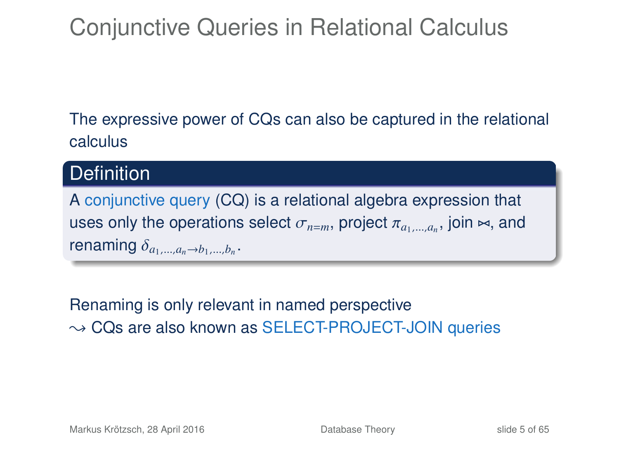## Conjunctive Queries in Relational Calculus

The expressive power of CQs can also be captured in the relational calculus

### **Definition**

A conjunctive query (CQ) is a relational algebra expression that uses only the operations select  $\sigma_{n=m}$ , project  $\pi_{a_1,\dots,a_n}$ , join  $\bowtie$ , and represents renaming  $\delta_{a_1,...,a_n\to b_1,...,b_n}$ .

Renaming is only relevant in named perspective  $\rightarrow$  CQs are also known as SELECT-PROJECT-JOIN queries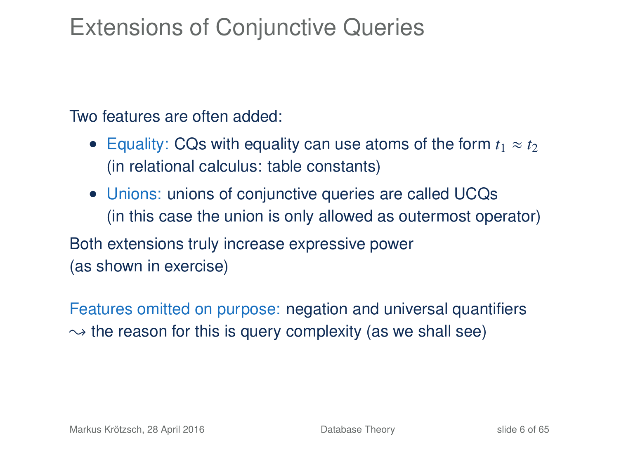### Extensions of Conjunctive Queries

Two features are often added:

- Equality: CQs with equality can use atoms of the form  $t_1 \approx t_2$ (in relational calculus: table constants)
- Unions: unions of conjunctive queries are called UCQs (in this case the union is only allowed as outermost operator)

Both extensions truly increase expressive power (as shown in exercise)

Features omitted on purpose: negation and universal quantifiers  $\rightarrow$  the reason for this is query complexity (as we shall see)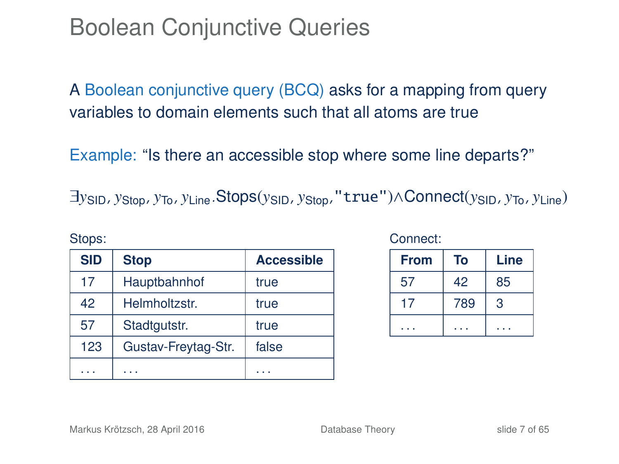### Boolean Conjunctive Queries

A Boolean conjunctive query (BCQ) asks for a mapping from query variables to domain elements such that all atoms are true

Example: "Is there an accessible stop where some line departs?"

∃*y*SID, *y*Stop, *y*To, *y*Line.Stops(*y*SID, *y*Stop,"true")∧Connect(*y*SID, *y*To, *y*Line)

| <b>SID</b> | <b>Stop</b>         | <b>Accessible</b> |
|------------|---------------------|-------------------|
| 17         | Hauptbahnhof        | true              |
| 42         | Helmholtzstr.       | true              |
| 57         | Stadtgutstr.        | true              |
| 123        | Gustav-Freytag-Str. | false             |
|            |                     |                   |

Connect:

| <b>From</b> | То  | Line |
|-------------|-----|------|
| 57          | 42  | 85   |
| 17          | 789 | 3    |
|             |     |      |

Stops: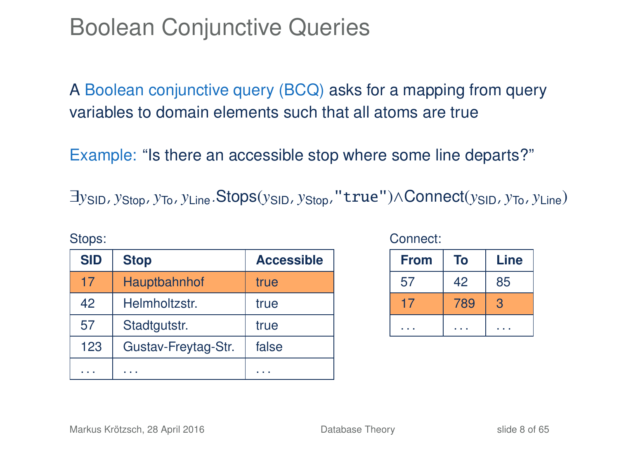### Boolean Conjunctive Queries

A Boolean conjunctive query (BCQ) asks for a mapping from query variables to domain elements such that all atoms are true

Example: "Is there an accessible stop where some line departs?"

∃*y*SID, *y*Stop, *y*To, *y*Line.Stops(*y*SID, *y*Stop,"true")∧Connect(*y*SID, *y*To, *y*Line)

| <b>SID</b> | <b>Stop</b>         | <b>Accessible</b> |
|------------|---------------------|-------------------|
| 17         | Hauptbahnhof        | true              |
| 42         | Helmholtzstr.       | true              |
| 57         | Stadtgutstr.        | true              |
| 123        | Gustav-Freytag-Str. | false             |
|            |                     |                   |

#### Connect:

| <b>From</b> | To  | Line |
|-------------|-----|------|
| 57          | 42  | 85   |
|             | 789 | 3    |
|             |     |      |

Stops: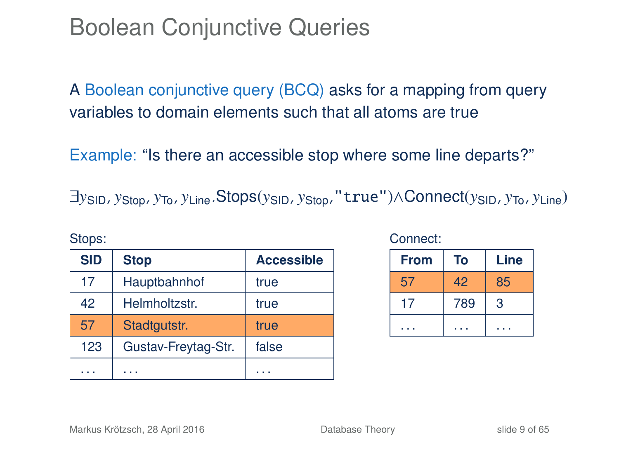### Boolean Conjunctive Queries

A Boolean conjunctive query (BCQ) asks for a mapping from query variables to domain elements such that all atoms are true

Example: "Is there an accessible stop where some line departs?"

∃*y*SID, *y*Stop, *y*To, *y*Line.Stops(*y*SID, *y*Stop,"true")∧Connect(*y*SID, *y*To, *y*Line)

| <b>SID</b> | <b>Stop</b>         | <b>Accessible</b> |
|------------|---------------------|-------------------|
| 17         | Hauptbahnhof        | true              |
| 42         | Helmholtzstr.       | true              |
| 57         | Stadtgutstr.        | true              |
| 123        | Gustav-Freytag-Str. | false             |
|            |                     |                   |

Connect:

| <b>From</b> | To  | Line |
|-------------|-----|------|
| 57          | 42  | 85   |
| 17          | 789 | 3    |
|             |     |      |

Stops: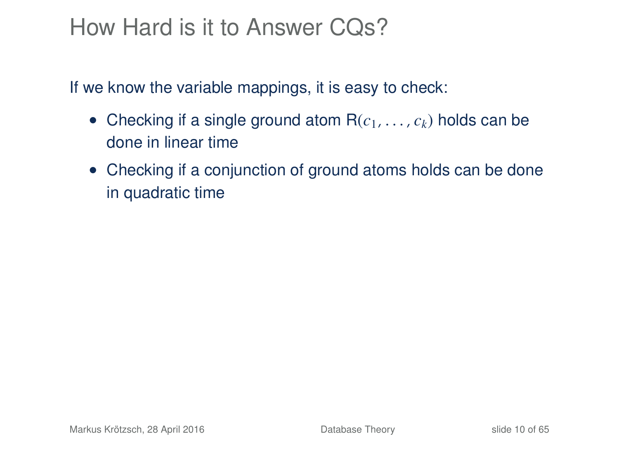### How Hard is it to Answer CQs?

If we know the variable mappings, it is easy to check:

- Checking if a single ground atom  $R(c_1, \ldots, c_k)$  holds can be done in linear time
- Checking if a conjunction of ground atoms holds can be done in quadratic time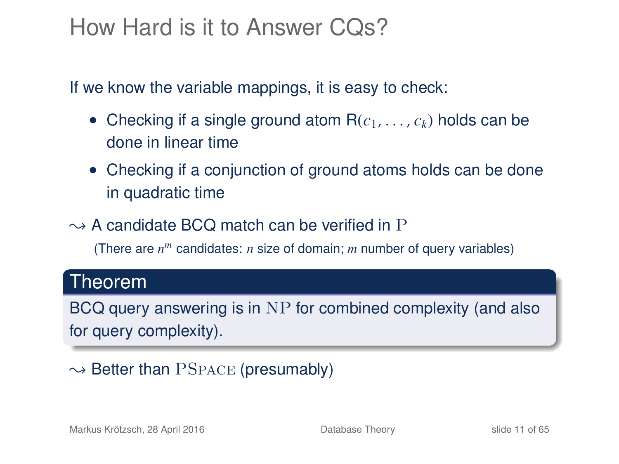### How Hard is it to Answer CQs?

If we know the variable mappings, it is easy to check:

- Checking if a single ground atom  $R(c_1, \ldots, c_k)$  holds can be done in linear time
- Checking if a conjunction of ground atoms holds can be done in quadratic time
- $\rightarrow$  A candidate BCQ match can be verified in P

(There are *n <sup>m</sup>* candidates: *n* size of domain; *m* number of query variables)

### Theorem

BCQ query answering is in NP for combined complexity (and also for query complexity).

### $\rightarrow$  Better than PSPACE (presumably)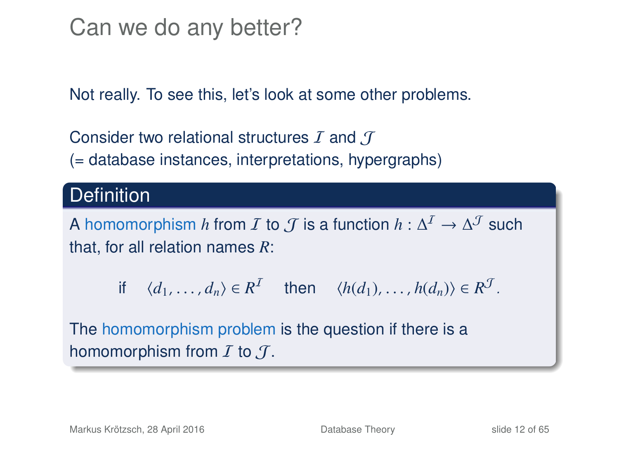Can we do any better?

Not really. To see this, let's look at some other problems.

Consider two relational structures  $I$  and  $I$ (= database instances, interpretations, hypergraphs)

### **Definition**

A homomorphism  $h$  from  $\mathcal I$  to  $\mathcal J$  is a function  $h: \Delta^{\mathcal I} \to \Delta^{\mathcal J}$  such that, for all relation names *R*:

if 
$$
\langle d_1, \ldots, d_n \rangle \in R^{\mathcal{I}}
$$
 then  $\langle h(d_1), \ldots, h(d_n) \rangle \in R^{\mathcal{J}}$ .

The homomorphism problem is the question if there is a homomorphism from  $I$  to  $J$ .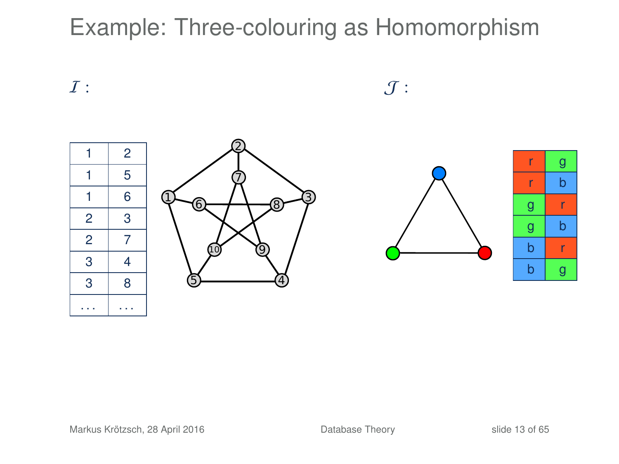

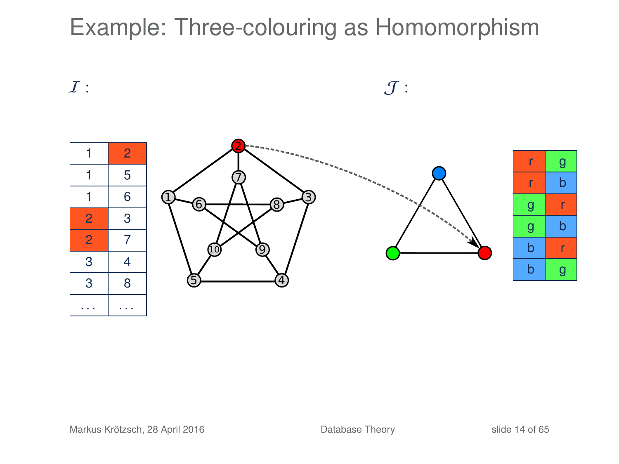

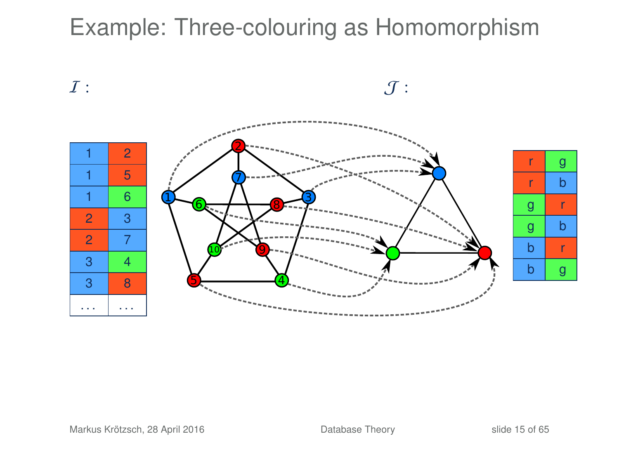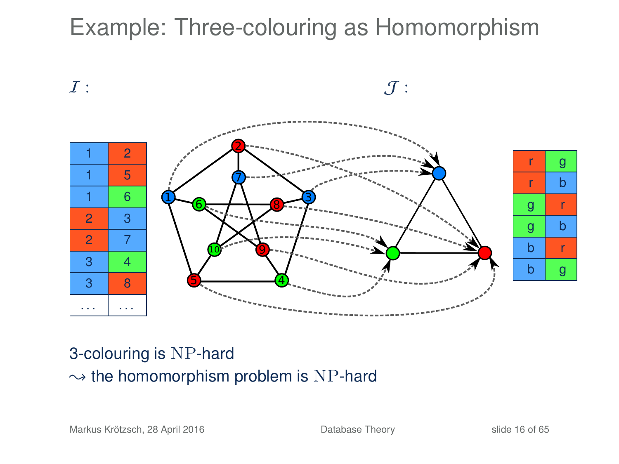

### 3-colouring is NP-hard  $\rightarrow$  the homomorphism problem is NP-hard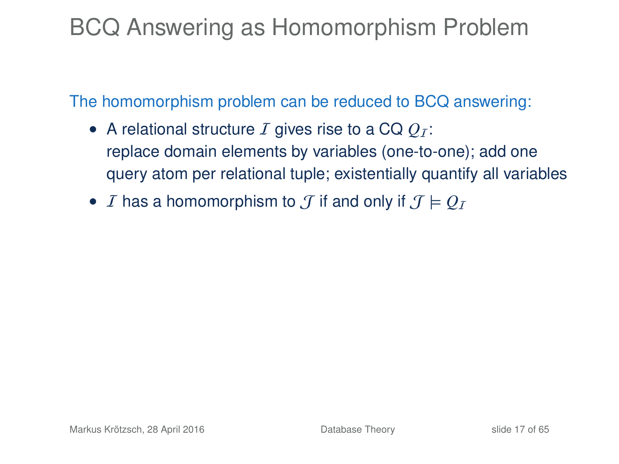## BCQ Answering as Homomorphism Problem

The homomorphism problem can be reduced to BCQ answering:

- A relational structure  $I$  gives rise to a CQ  $Q_I$ : replace domain elements by variables (one-to-one); add one query atom per relational tuple; existentially quantify all variables
- *I* has a homomorphism to *J* if and only if  $J \models Q_I$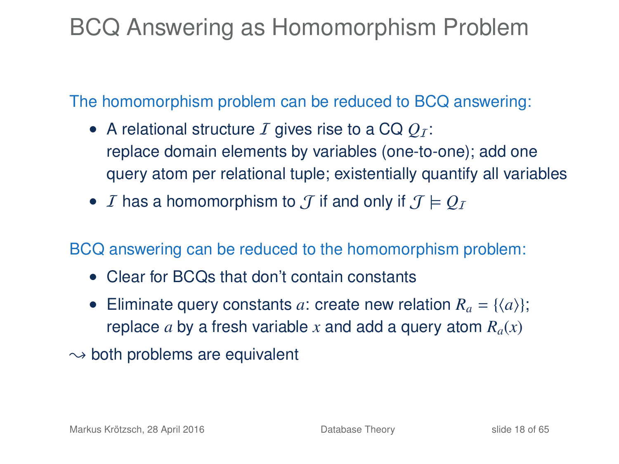## BCQ Answering as Homomorphism Problem

The homomorphism problem can be reduced to BCQ answering:

- A relational structure  $I$  gives rise to a CQ  $Q_I$ : replace domain elements by variables (one-to-one); add one query atom per relational tuple; existentially quantify all variables
- *I* has a homomorphism to *J* if and only if  $J \models Q_I$

BCQ answering can be reduced to the homomorphism problem:

- Clear for BCQs that don't contain constants
- Eliminate query constants *a*: create new relation  $R_a = \{\langle a \rangle\}$ ; replace *a* by a fresh variable *x* and add a query atom  $R_a(x)$
- $\rightarrow$  both problems are equivalent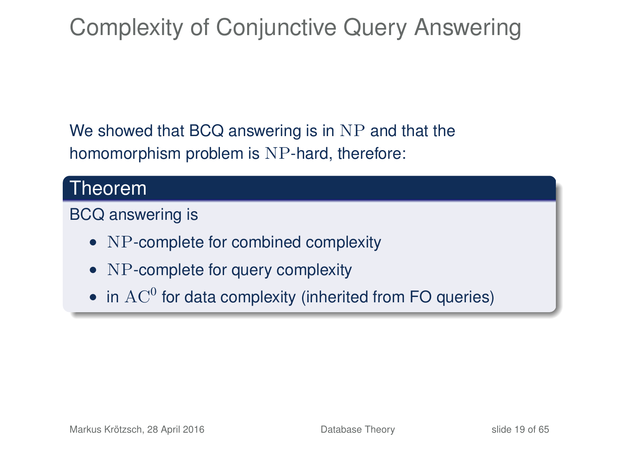## Complexity of Conjunctive Query Answering

We showed that BCQ answering is in NP and that the homomorphism problem is NP-hard, therefore:

### Theorem

#### BCQ answering is

- NP-complete for combined complexity
- NP-complete for query complexity
- $\bullet$  in  $\text{AC}^0$  for data complexity (inherited from FO queries)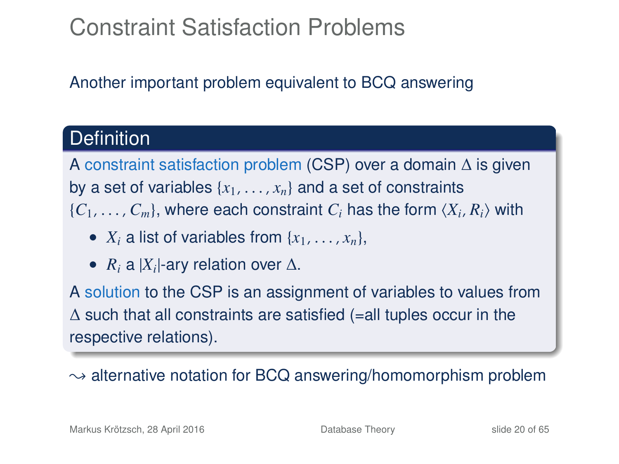## Constraint Satisfaction Problems

Another important problem equivalent to BCQ answering

### **Definition**

A constraint satisfaction problem (CSP) over a domain ∆ is given by a set of variables  $\{x_1, \ldots, x_n\}$  and a set of constraints  ${C_1, \ldots, C_m}$ , where each constraint  $C_i$  has the form  ${X_i, R_i}$  with

- $X_i$  a list of variables from  $\{x_1, \ldots, x_n\}$ ,
- $R_i$  a  $|X_i|$ -ary relation over  $\Delta$ .

A solution to the CSP is an assignment of variables to values from  $\Delta$  such that all constraints are satisfied (=all tuples occur in the respective relations).

 $\rightarrow$  alternative notation for BCQ answering/homomorphism problem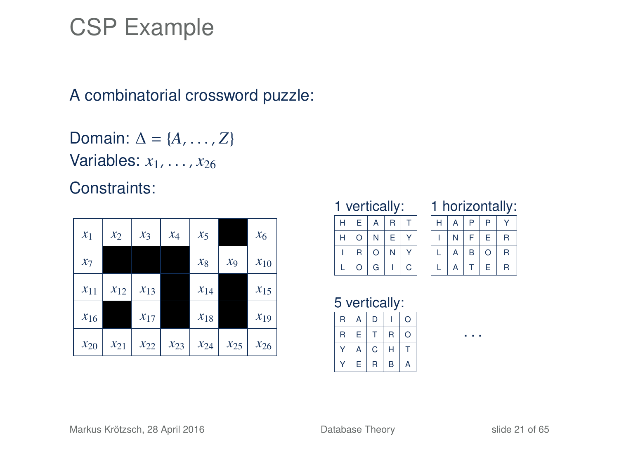### CSP Example

#### A combinatorial crossword puzzle:

Domain:  $\Delta = \{A, \ldots, Z\}$ Variables: *<sup>x</sup>*1, . . . , *<sup>x</sup>*<sup>26</sup>

Constraints:

| $x_1$    | $x_2$    | $x_3$    | $x_4$    | $x_5$    |                | $x_6$    |
|----------|----------|----------|----------|----------|----------------|----------|
| $x_7$    |          |          |          | $x_8$    | x <sub>9</sub> | $x_{10}$ |
| $x_{11}$ | $x_{12}$ | $x_{13}$ |          | $x_{14}$ |                | $x_{15}$ |
| $x_{16}$ |          | $x_{17}$ |          | $x_{18}$ |                | $x_{19}$ |
| $x_{20}$ | $x_{21}$ | $x_{22}$ | $x_{23}$ | $x_{24}$ | $x_{25}$       | $x_{26}$ |

#### 1 vertically:

| H | Е       | $\mathsf{A}$ | $\mathsf{R}$ |   |  |  |
|---|---------|--------------|--------------|---|--|--|
| H | O       | N            | E            |   |  |  |
|   | R       | $\circ$      | N            |   |  |  |
| L | $\circ$ | G            |              | C |  |  |

| horizontally: |   |   |   |   |  |  |  |
|---------------|---|---|---|---|--|--|--|
| H             | А | P | P |   |  |  |  |
|               |   | F | F | R |  |  |  |
|               | A | B | n | R |  |  |  |
|               |   |   | F | R |  |  |  |

. . .

5 vertically:

| R | Α | D |   | O |
|---|---|---|---|---|
| R | Е |   | R | O |
| ٧ | А | c | Н |   |
|   | Е | R | B | Α |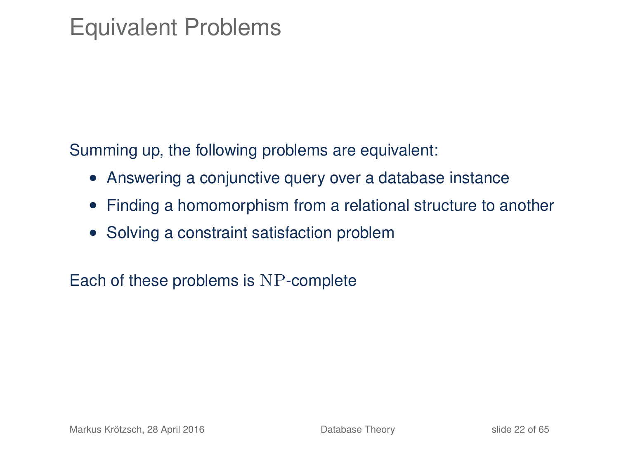## Equivalent Problems

Summing up, the following problems are equivalent:

- Answering a conjunctive query over a database instance
- Finding a homomorphism from a relational structure to another
- Solving a constraint satisfaction problem

Each of these problems is NP-complete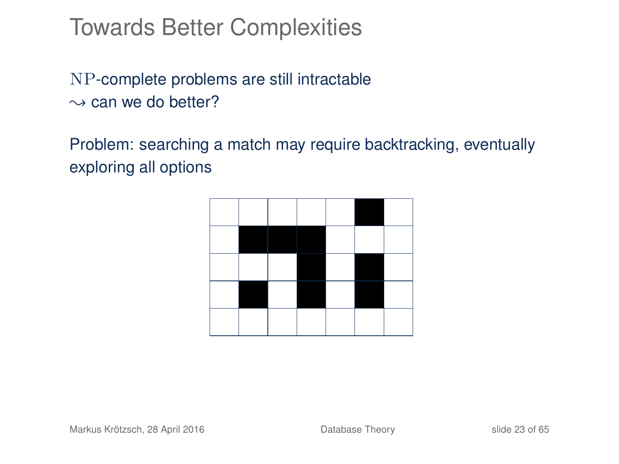NP-complete problems are still intractable  $\rightarrow$  can we do better?

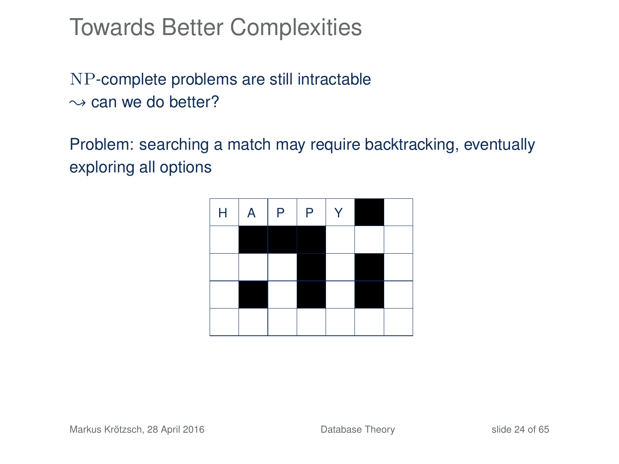NP-complete problems are still intractable  $\rightarrow$  can we do better?

| $\mathsf H$ | A | $\mathsf P$ | $\mathsf P$ | Y |  |
|-------------|---|-------------|-------------|---|--|
|             |   |             |             |   |  |
|             |   |             |             |   |  |
|             |   |             |             |   |  |
|             |   |             |             |   |  |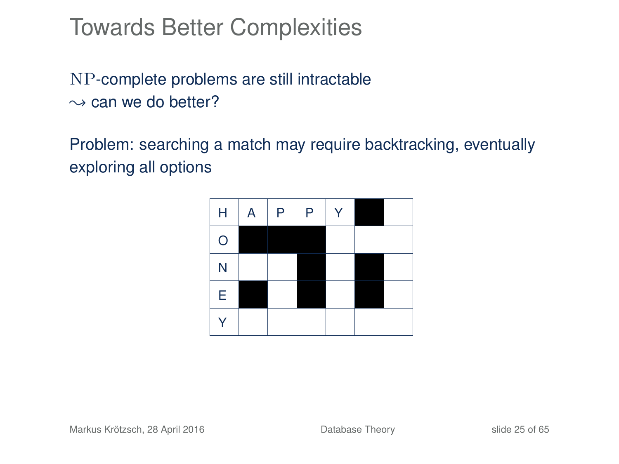NP-complete problems are still intractable  $\rightarrow$  can we do better?

| H                       | A | P | P | $\checkmark$ |  |
|-------------------------|---|---|---|--------------|--|
| $\circ$                 |   |   |   |              |  |
| $\overline{\mathsf{N}}$ |   |   |   |              |  |
| E                       |   |   |   |              |  |
| Ý                       |   |   |   |              |  |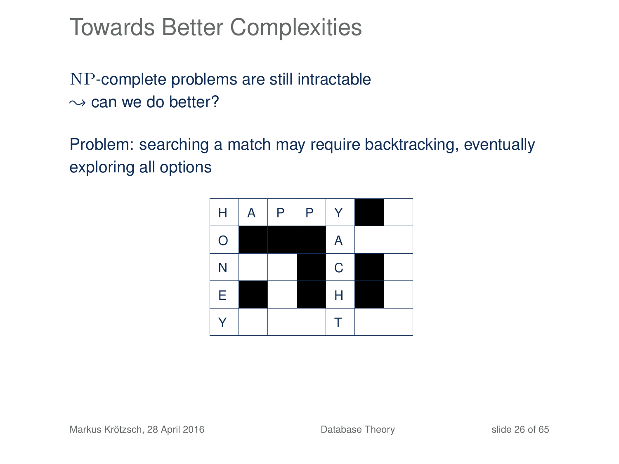NP-complete problems are still intractable  $\rightarrow$  can we do better?

| Н                       | Α | P | P | Y           |  |
|-------------------------|---|---|---|-------------|--|
| $\circ$                 |   |   |   | A           |  |
| $\overline{\mathsf{N}}$ |   |   |   | $\mathbf C$ |  |
| E                       |   |   |   | Н           |  |
| Ý                       |   |   |   | Τ           |  |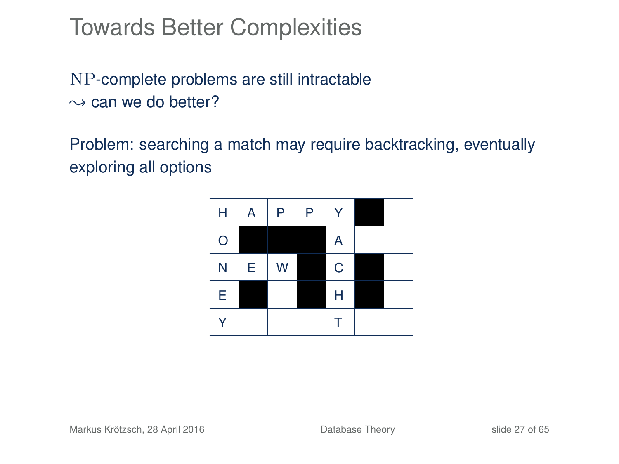NP-complete problems are still intractable  $\rightarrow$  can we do better?

| Н       | A | P | P | Ÿ           |  |
|---------|---|---|---|-------------|--|
| $\circ$ |   |   |   | A           |  |
| N       | Е | W |   | $\mathbf C$ |  |
| Ė       |   |   |   | Н           |  |
| Ý       |   |   |   | Τ           |  |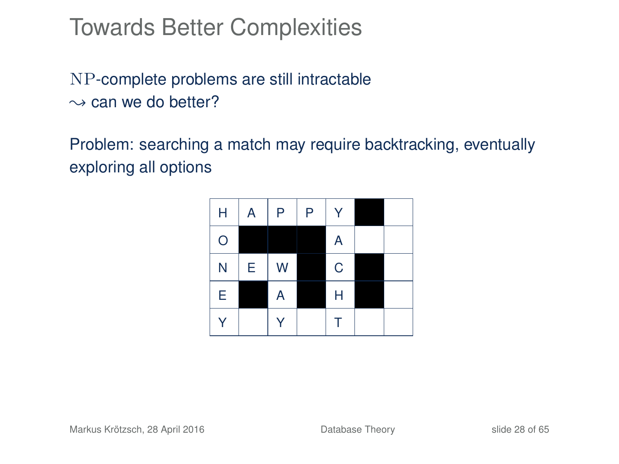NP-complete problems are still intractable  $\rightarrow$  can we do better?

| Н       | A | P | P | Ÿ           |  |
|---------|---|---|---|-------------|--|
| $\circ$ |   |   |   | A           |  |
| N       | Е | W |   | $\mathbf C$ |  |
| Ė       |   | A |   | Н           |  |
| Ý       |   | Ý |   | Τ           |  |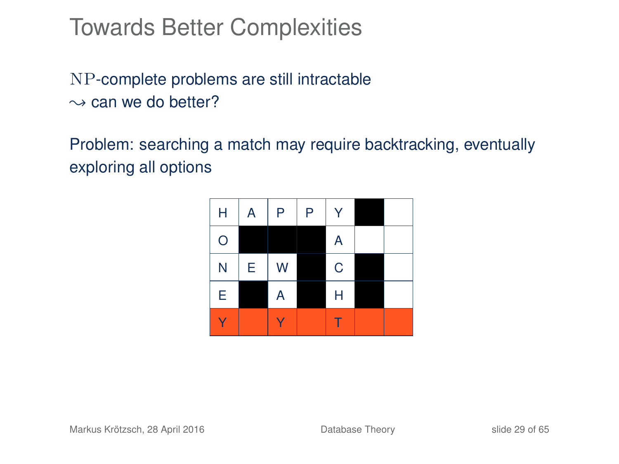NP-complete problems are still intractable  $\rightarrow$  can we do better?

| Н       | Α | P | P | Ÿ           |  |
|---------|---|---|---|-------------|--|
| $\circ$ |   |   |   | A           |  |
| N       | E | W |   | $\mathsf C$ |  |
| Ė       |   | A |   | Н           |  |
| Ŷ       |   |   |   |             |  |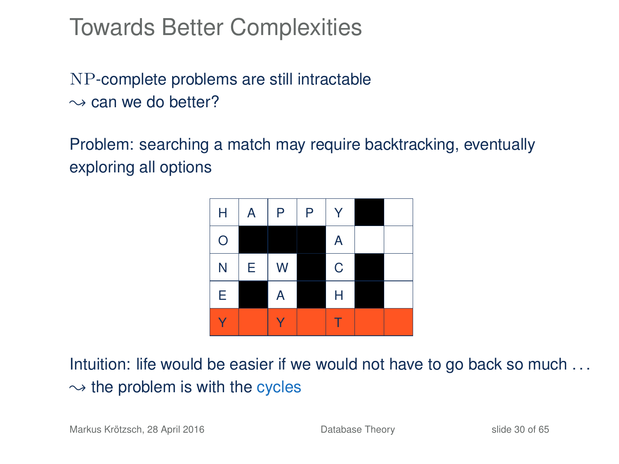NP-complete problems are still intractable  $\rightarrow$  can we do better?

Problem: searching a match may require backtracking, eventually exploring all options



Intuition: life would be easier if we would not have to go back so much . . .  $\rightarrow$  the problem is with the cycles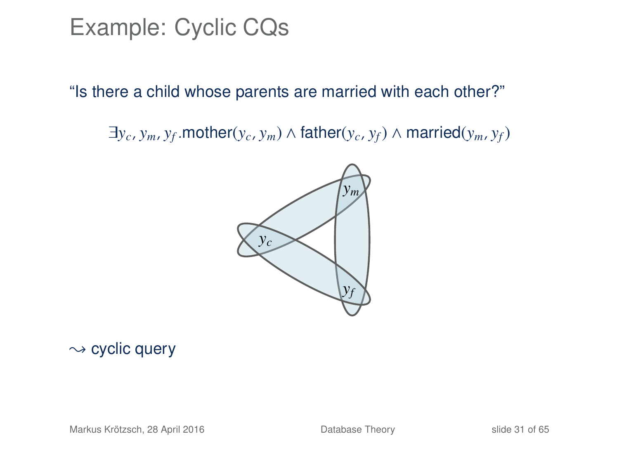### Example: Cyclic CQs

"Is there a child whose parents are married with each other?"

 $\exists y_c, y_m, y_f$ .mother( $y_c, y_m$ ) ∧ father( $y_c, y_f$ ) ∧ married( $y_m, y_f$ )



#### $\sim$  cyclic query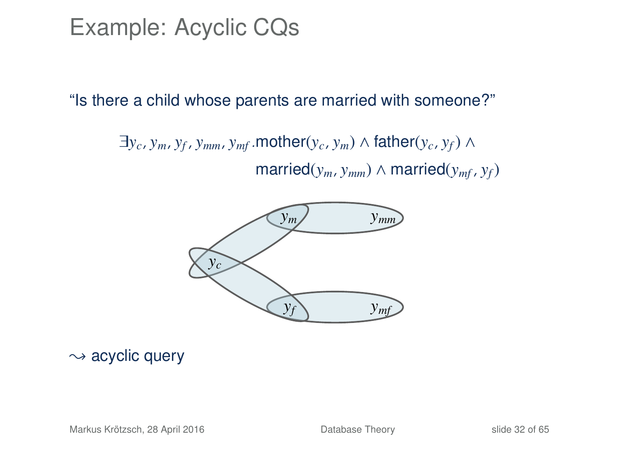### Example: Acyclic CQs

#### "Is there a child whose parents are married with someone?"

 $\exists y_c, y_m, y_f, y_{mm}, y_{mf}.$  mother $(y_c, y_m) \wedge$  father $(y_c, y_f) \wedge$  $\text{married}(y_m, y_{mm}) \wedge \text{married}(y_{mf}, y_f)$ 



 $\rightsquigarrow$  acyclic query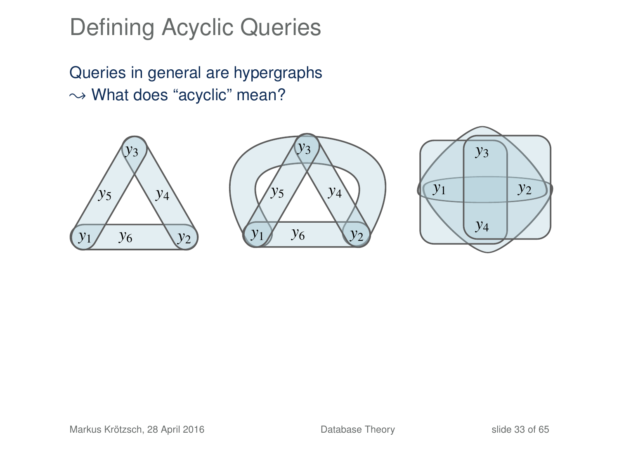## Defining Acyclic Queries

Queries in general are hypergraphs  $\rightarrow$  What does "acyclic" mean?





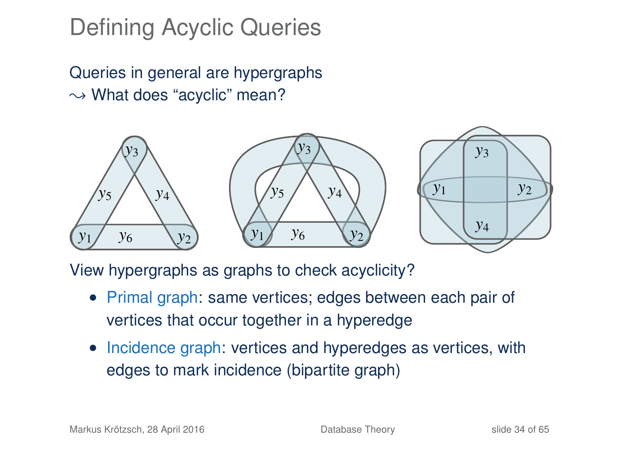## Defining Acyclic Queries

Queries in general are hypergraphs  $\rightarrow$  What does "acyclic" mean?



View hypergraphs as graphs to check acyclicity?

- Primal graph: same vertices; edges between each pair of vertices that occur together in a hyperedge
- Incidence graph: vertices and hyperedges as vertices, with edges to mark incidence (bipartite graph)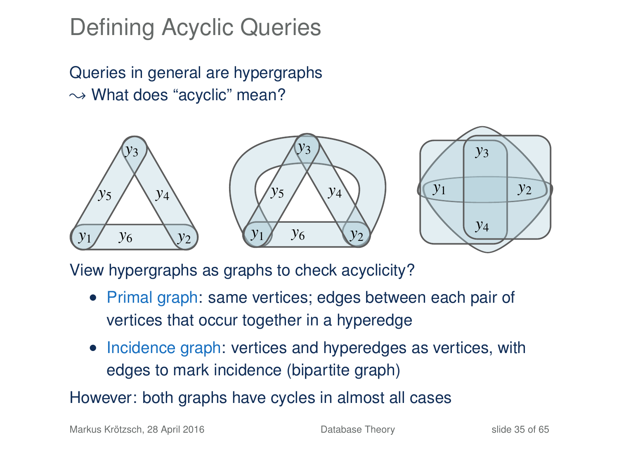## Defining Acyclic Queries

Queries in general are hypergraphs  $\rightarrow$  What does "acyclic" mean?



View hypergraphs as graphs to check acyclicity?

- Primal graph: same vertices; edges between each pair of vertices that occur together in a hyperedge
- Incidence graph: vertices and hyperedges as vertices, with edges to mark incidence (bipartite graph)

However: both graphs have cycles in almost all cases

Markus Krötzsch, 28 April 2016 **[Database Theory](#page-0-0)** Slide 35 of 65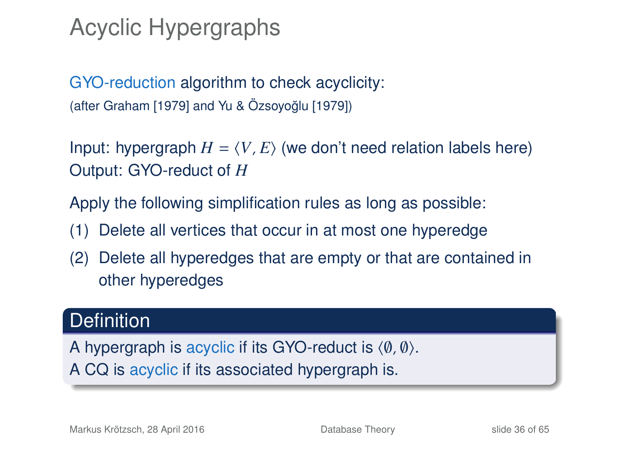## Acyclic Hypergraphs

GYO-reduction algorithm to check acyclicity: (after Graham [1979] and Yu & Özsoyoğlu [1979])

Input: hypergraph  $H = \langle V, E \rangle$  (we don't need relation labels here) Output: GYO-reduct of *H*

Apply the following simplification rules as long as possible:

- (1) Delete all vertices that occur in at most one hyperedge
- (2) Delete all hyperedges that are empty or that are contained in other hyperedges

### **Definition**

A hypergraph is acyclic if its GYO-reduct is  $\langle \emptyset, \emptyset \rangle$ . A CQ is acyclic if its associated hypergraph is.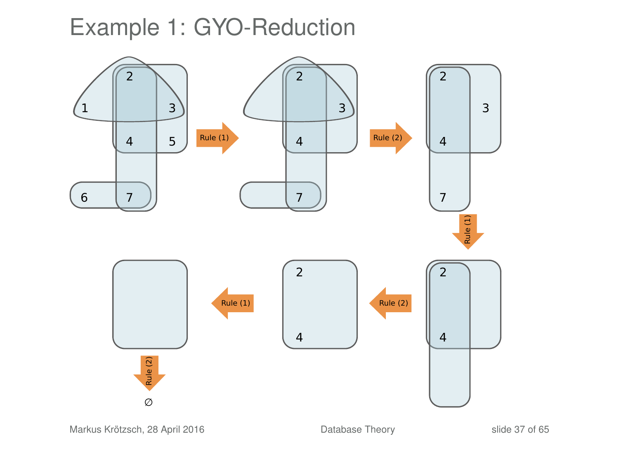### Example 1: GYO-Reduction



Markus Krötzsch, 28 April 2016 **[Database Theory](#page-0-0)** Slide 37 of 65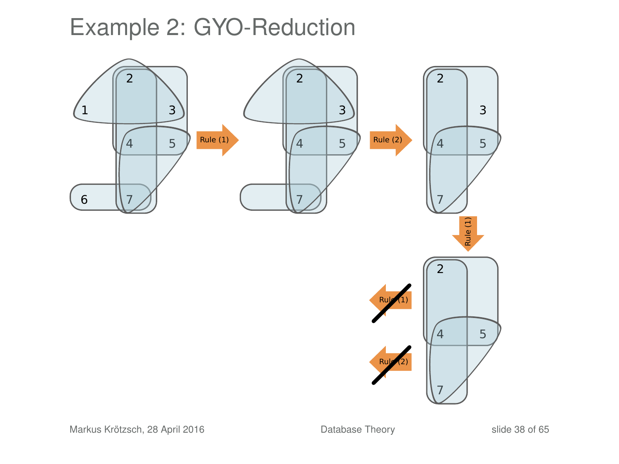## Example 2: GYO-Reduction

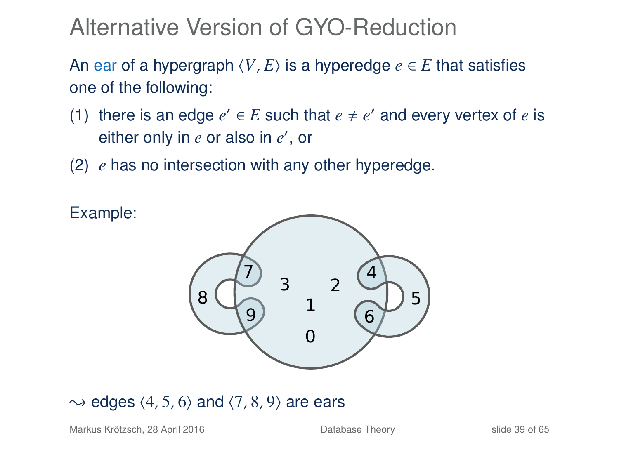Alternative Version of GYO-Reduction

An ear of a hypergraph  $\langle V, E \rangle$  is a hyperedge  $e \in E$  that satisfies one of the following:

- (1) there is an edge  $e' \in E$  such that  $e \neq e'$  and every vertex of  $e$  is either only in *e* or also in *e'*, or
- (2) *e* has no intersection with any other hyperedge.



#### $\rightarrow$  edges  $\langle 4, 5, 6 \rangle$  and  $\langle 7, 8, 9 \rangle$  are ears

Markus Krötzsch, 28 April 2016 **[Database Theory](#page-0-0)** Slide 39 of 65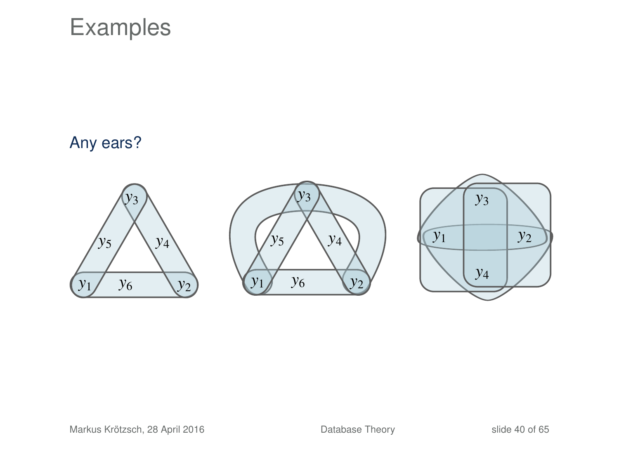### Examples

#### Any ears?





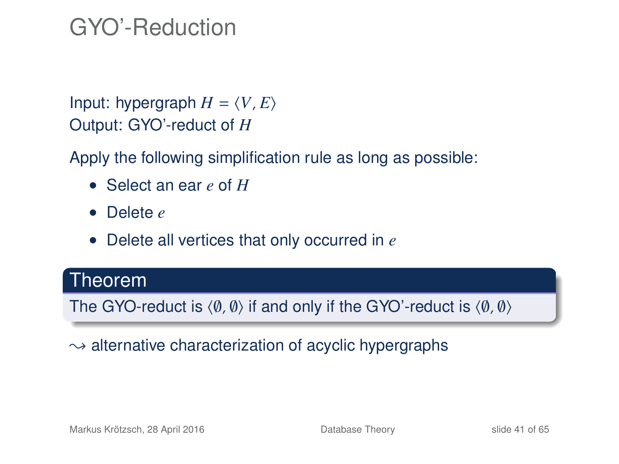### GYO'-Reduction

Input: hypergraph  $H = \langle V, E \rangle$ Output: GYO'-reduct of *H*

Apply the following simplification rule as long as possible:

- Select an ear *e* of *H*
- Delete *e*
- Delete all vertices that only occurred in *e*

### Theorem

The GYO-reduct is  $\langle \emptyset, \emptyset \rangle$  if and only if the GYO'-reduct is  $\langle \emptyset, \emptyset \rangle$ 

#### $\rightarrow$  alternative characterization of acyclic hypergraphs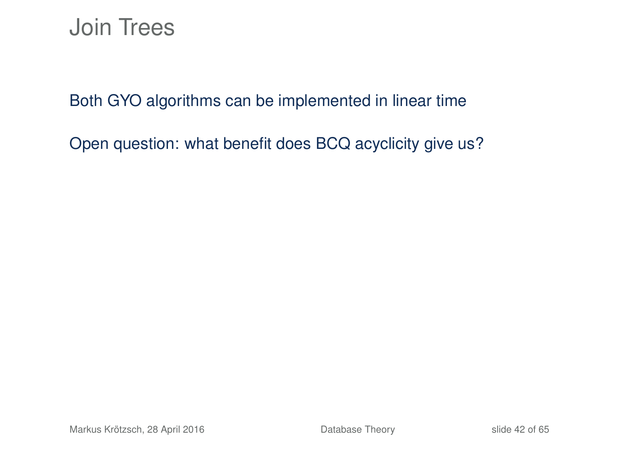### Join Trees

Both GYO algorithms can be implemented in linear time

Open question: what benefit does BCQ acyclicity give us?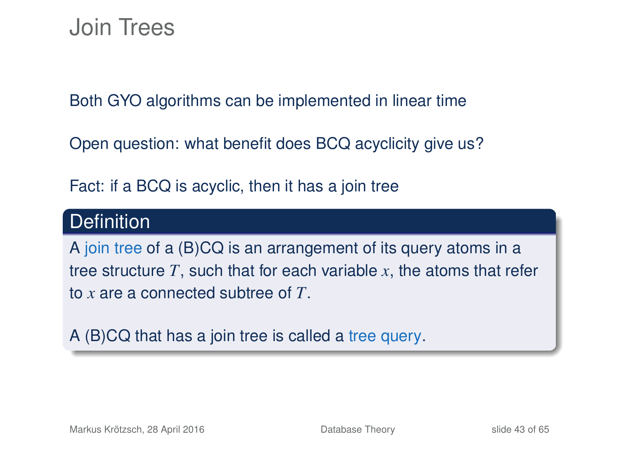### Join Trees

Both GYO algorithms can be implemented in linear time

Open question: what benefit does BCQ acyclicity give us?

Fact: if a BCQ is acyclic, then it has a join tree

### **Definition**

A join tree of a (B)CQ is an arrangement of its query atoms in a tree structure *T*, such that for each variable *x*, the atoms that refer to *x* are a connected subtree of *T*.

A (B)CQ that has a join tree is called a tree query.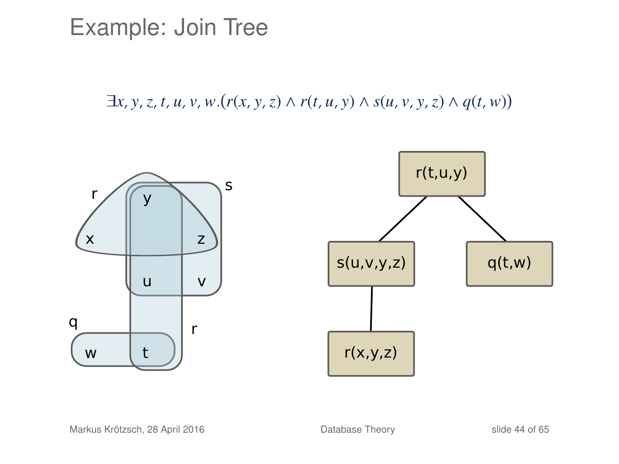Example: Join Tree

 $\exists x, y, z, t, u, v, w.(r(x, y, z) \wedge r(t, u, y) \wedge s(u, v, y, z) \wedge q(t, w))$ 

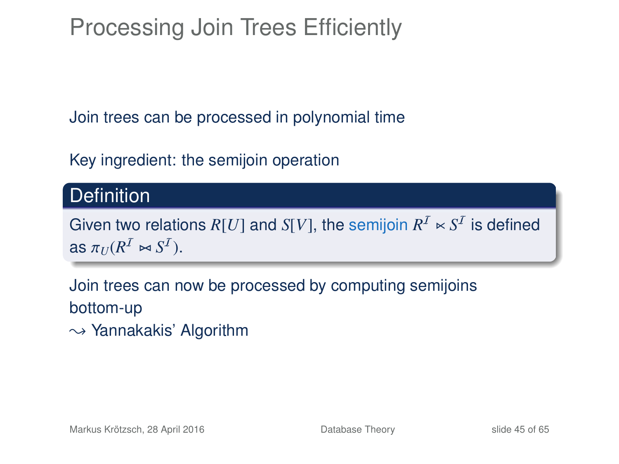Processing Join Trees Efficiently

Join trees can be processed in polynomial time

Key ingredient: the semijoin operation

### **Definition**

Given two relations  $R[U]$  and  $S[V]$ , the semijoin  $R^{\mathcal{I}} \ltimes S^{\mathcal{I}}$  is defined as  $\pi_U(R^{\mathcal{I}} \bowtie S^{\mathcal{I}})$ .

Join trees can now be processed by computing semijoins bottom-up

 $\rightarrow$  Yannakakis' Algorithm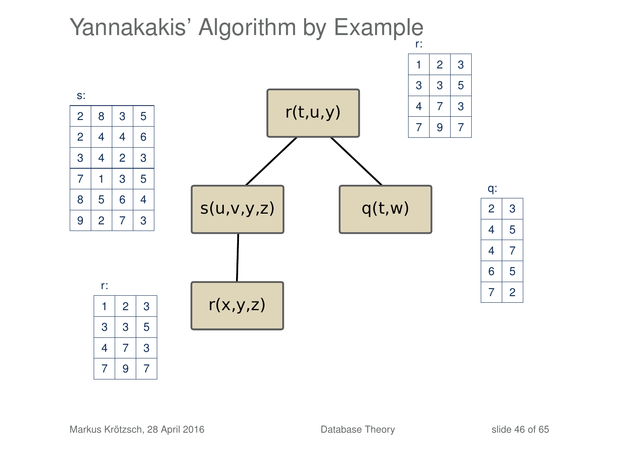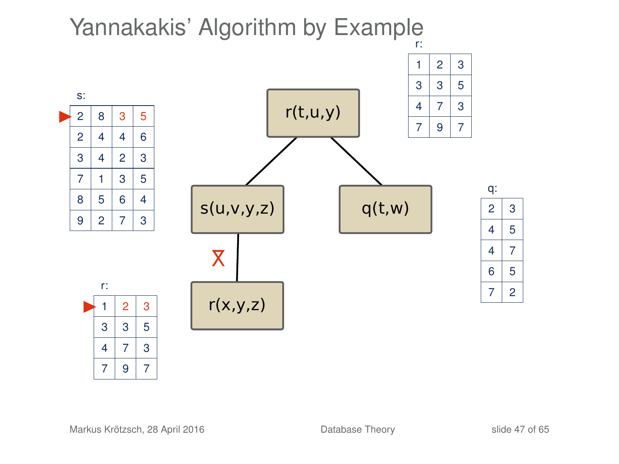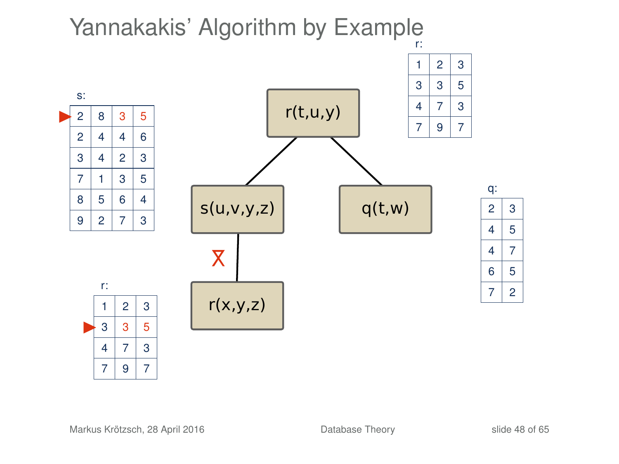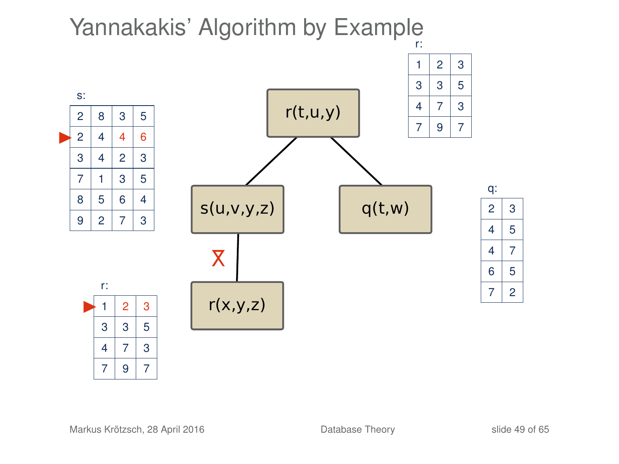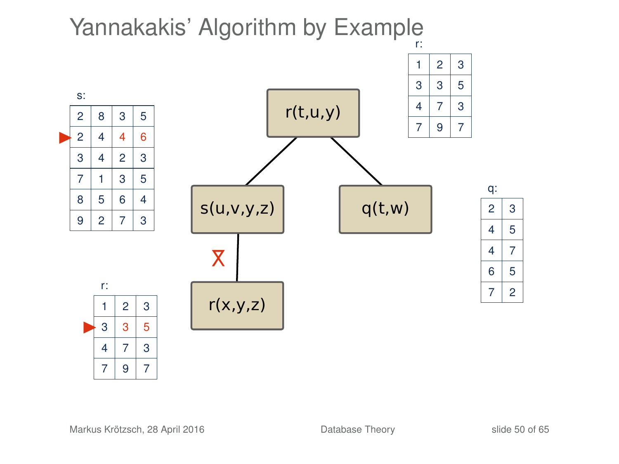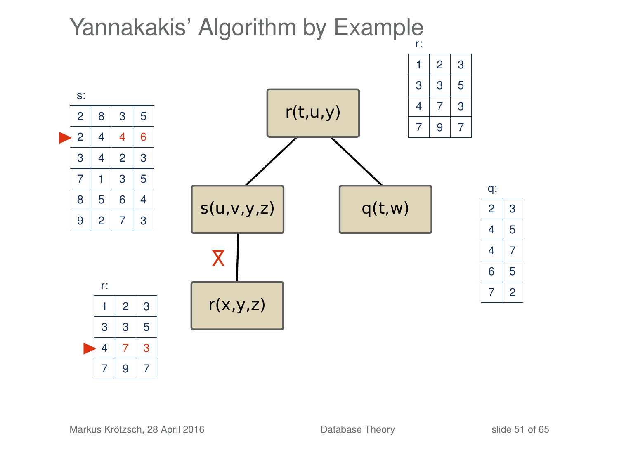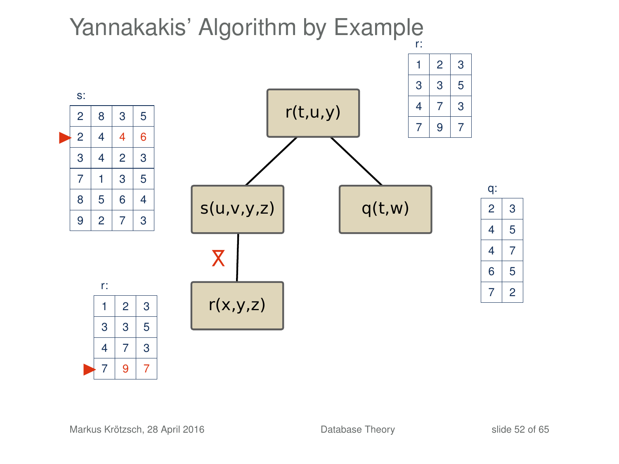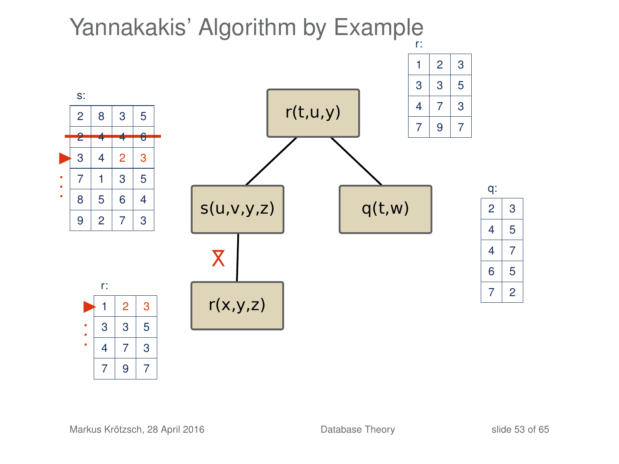



q:  $2 \mid 3$ 

 $q(t,w)$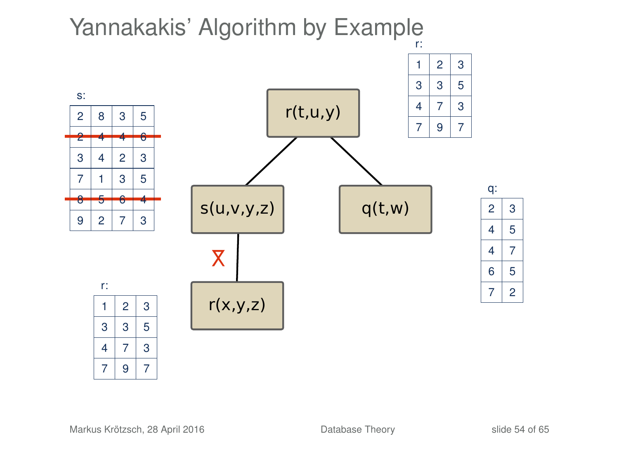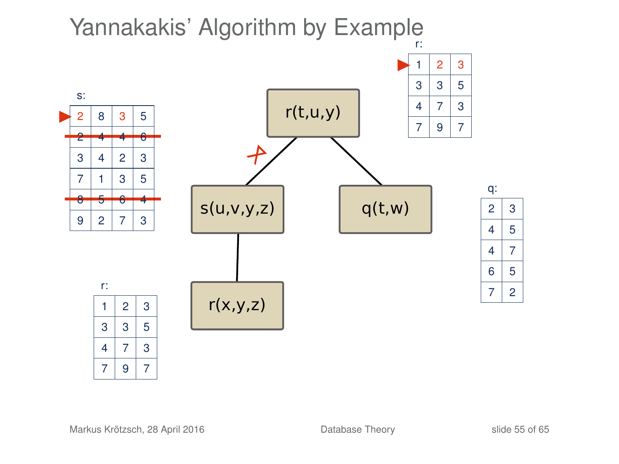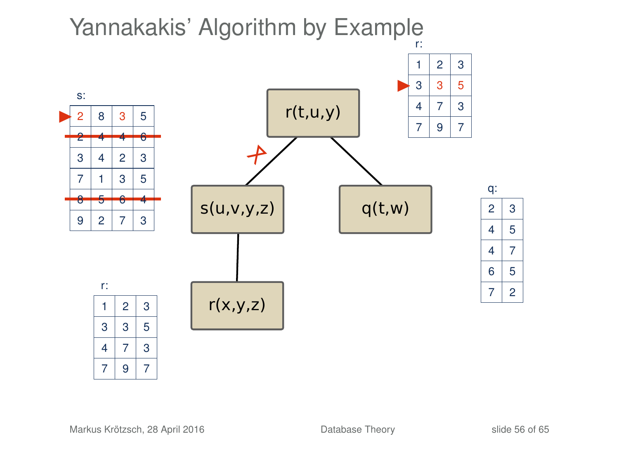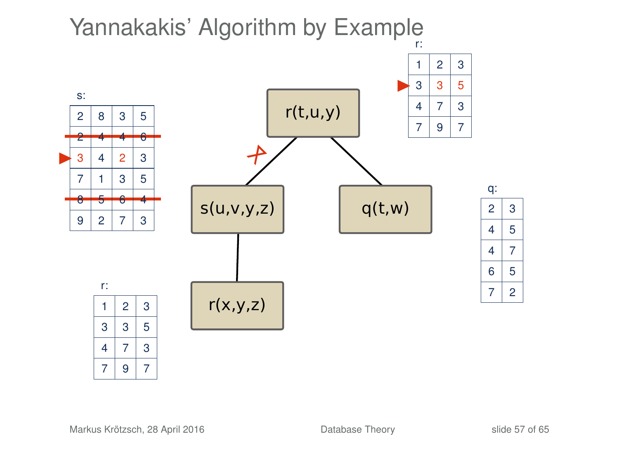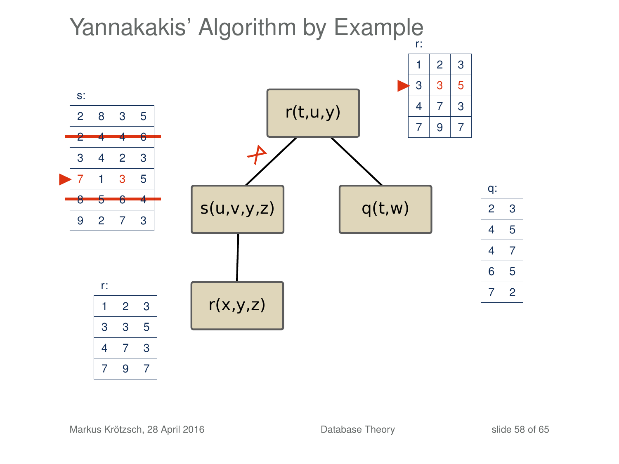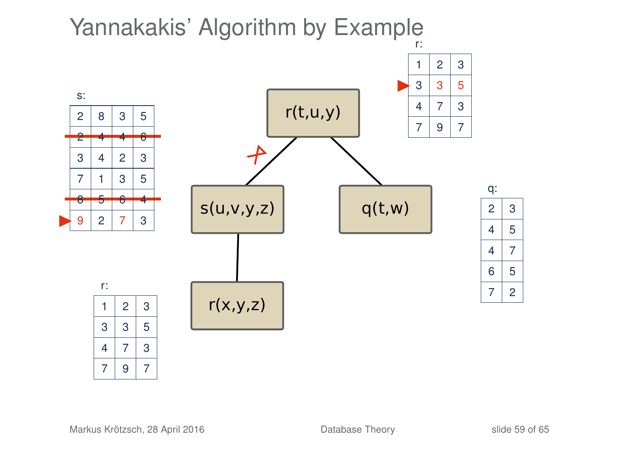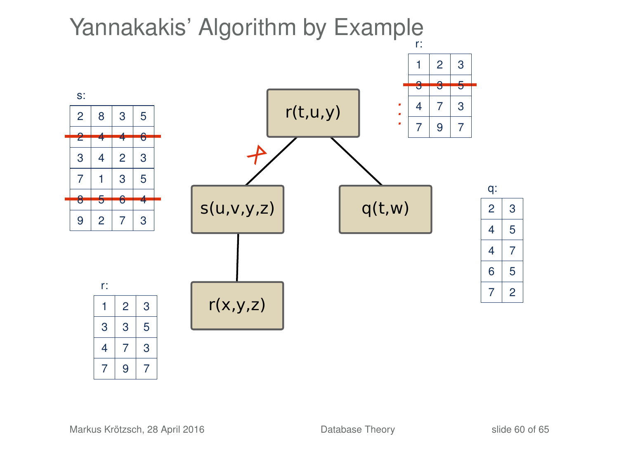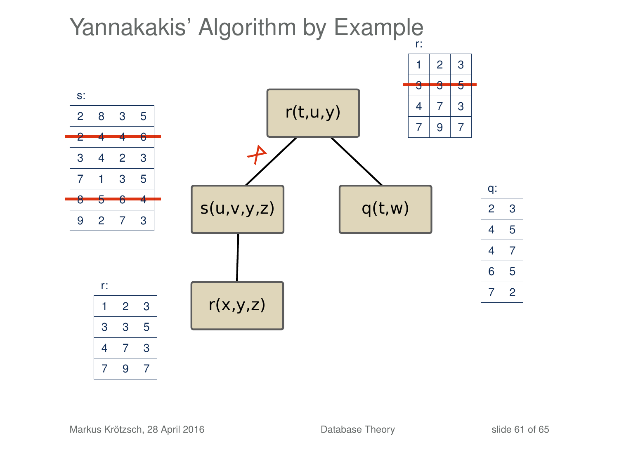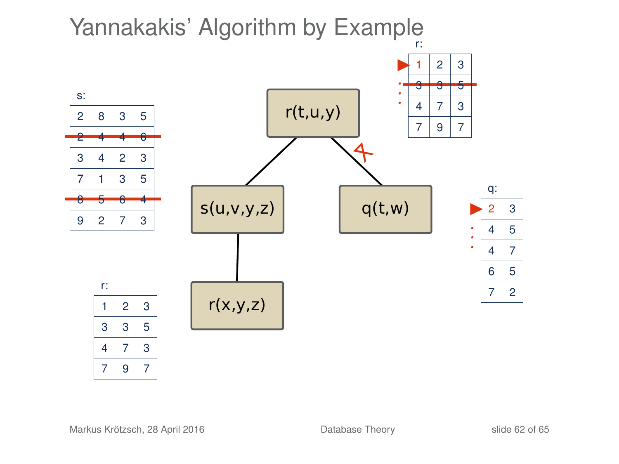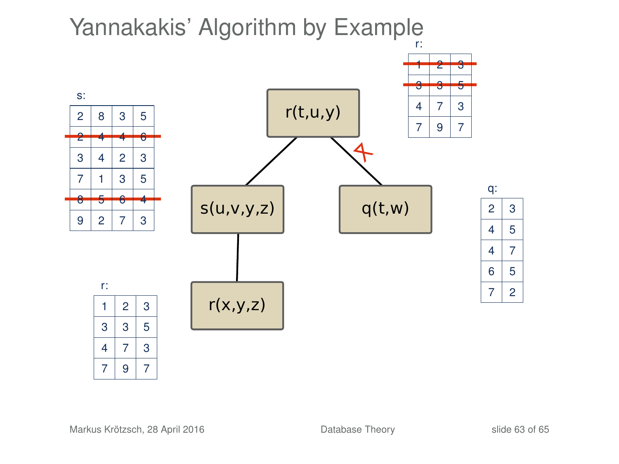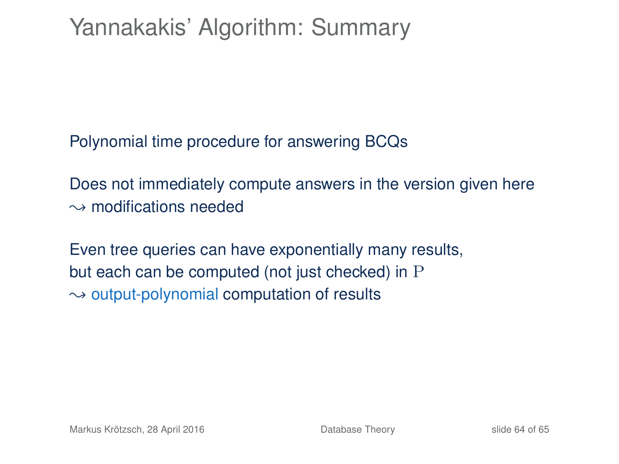## Yannakakis' Algorithm: Summary

Polynomial time procedure for answering BCQs

Does not immediately compute answers in the version given here  $\rightarrow$  modifications needed

Even tree queries can have exponentially many results, but each can be computed (not just checked) in P  $\rightarrow$  output-polynomial computation of results